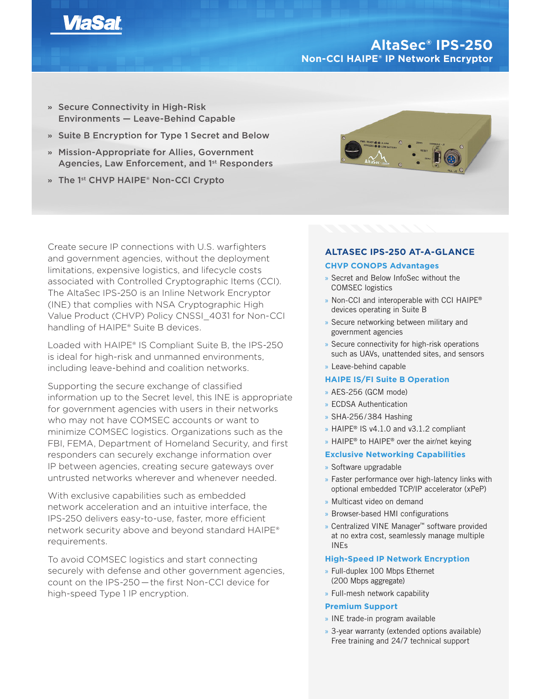

# **AltaSec® IPS-250 Non-CCI HAIPE® IP Network Encryptor**

- **»** Secure Connectivity in High-Risk Environments — Leave-Behind Capable
- **»** Suite B Encryption for Type 1 Secret and Below
- **»** Mission-Appropriate for Allies, Government Agencies, Law Enforcement, and 1<sup>st</sup> Responders
- **»** The 1st CHVP HAIPE® Non-CCI Crypto



Create secure IP connections with U.S. warfighters and government agencies, without the deployment limitations, expensive logistics, and lifecycle costs associated with Controlled Cryptographic Items (CCI). The AltaSec IPS-250 is an Inline Network Encryptor (INE) that complies with NSA Cryptographic High Value Product (CHVP) Policy CNSSI\_4031 for Non-CCI handling of HAIPE® Suite B devices.

Loaded with HAIPE® IS Compliant Suite B, the IPS-250 is ideal for high-risk and unmanned environments, including leave-behind and coalition networks.

Supporting the secure exchange of classified information up to the Secret level, this INE is appropriate for government agencies with users in their networks who may not have COMSEC accounts or want to minimize COMSEC logistics. Organizations such as the FBI, FEMA, Department of Homeland Security, and first responders can securely exchange information over IP between agencies, creating secure gateways over untrusted networks wherever and whenever needed.

With exclusive capabilities such as embedded network acceleration and an intuitive interface, the IPS-250 delivers easy-to-use, faster, more efficient network security above and beyond standard HAIPE® requirements.

To avoid COMSEC logistics and start connecting securely with defense and other government agencies, count on the IPS-250 — the first Non-CCI device for high-speed Type 1 IP encryption.

# **ALTASEC IPS-250 AT-A-GLANCE CHVP CONOPS Advantages**

- » Secret and Below InfoSec without the COMSEC logistics
- » Non-CCI and interoperable with CCI HAIPE® devices operating in Suite B
- » Secure networking between military and government agencies
- » Secure connectivity for high-risk operations such as UAVs, unattended sites, and sensors
- » Leave-behind capable

# **HAIPE IS/FI Suite B Operation**

- » AES-256 (GCM mode)
- » ECDSA Authentication
- » SHA-256/384 Hashing
- » HAIPE® IS v4.1.0 and v3.1.2 compliant
- » HAIPE<sup>®</sup> to HAIPE<sup>®</sup> over the air/net keying

## **Exclusive Networking Capabilities**

- » Software upgradable
- » Faster performance over high-latency links with optional embedded TCP/IP accelerator (xPeP)
- » Multicast video on demand
- » Browser-based HMI configurations
- » Centralized VINE Manager™ software provided at no extra cost, seamlessly manage multiple INEs

## **High-Speed IP Network Encryption**

- » Full-duplex 100 Mbps Ethernet (200 Mbps aggregate)
- » Full-mesh network capability

# **Premium Support**

- » INE trade-in program available
- » 3-year warranty (extended options available) Free training and 24/7 technical support